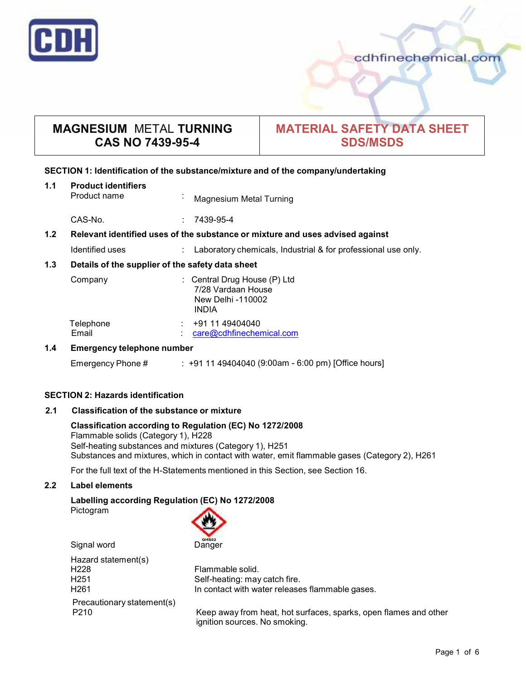

# **MAGNESIUM** METAL **TURNING CAS NO 7439-95-4**

# **MATERIAL SAFETY DATA SHEET SDS/MSDS**

# **SECTION 1: Identification of the substance/mixture and of the company/undertaking**

| 1.1                                                     | <b>Product identifiers</b><br>Product name                                    | $\cdot$ | Magnesium Metal Turning                                                          |
|---------------------------------------------------------|-------------------------------------------------------------------------------|---------|----------------------------------------------------------------------------------|
|                                                         | CAS-No.                                                                       |         | 7439-95-4                                                                        |
| 1.2                                                     | Relevant identified uses of the substance or mixture and uses advised against |         |                                                                                  |
|                                                         | Identified uses                                                               |         | Laboratory chemicals, Industrial & for professional use only.                    |
| 1.3<br>Details of the supplier of the safety data sheet |                                                                               |         |                                                                                  |
|                                                         | Company                                                                       |         | : Central Drug House (P) Ltd<br>7/28 Vardaan House<br>New Delhi -110002<br>INDIA |
|                                                         | Telephone<br>Email                                                            |         | +91 11 49404040<br>care@cdhfinechemical.com                                      |
| 1.4                                                     | Emergency telephone number                                                    |         |                                                                                  |

Emergency Phone # : +91 11 49404040 (9:00am - 6:00 pm) [Office hours]

## **SECTION 2: Hazards identification**

# **2.1 Classification of the substance ormixture**

### **Classification according to Regulation (EC) No 1272/2008** Flammable solids (Category 1), H228 Self-heating substances and mixtures (Category 1), H251 Substances and mixtures, which in contact with water, emit flammable gases (Category 2), H261

For the full text of the H-Statements mentioned in this Section, see Section 16.

# **2.2 Label elements**

# **Labelling according Regulation (EC) No 1272/2008**

Pictogram



| Hazard statement(s)<br>H228 |  |
|-----------------------------|--|
|                             |  |
| H <sub>251</sub>            |  |
| H <sub>261</sub>            |  |
| Precautionary statement(s)  |  |
| P210                        |  |

Flammable solid. Self-heating: may catch fire. In contact with water releases flammable gases.

Keep away from heat, hot surfaces, sparks, open flames and other ignition sources. No smoking.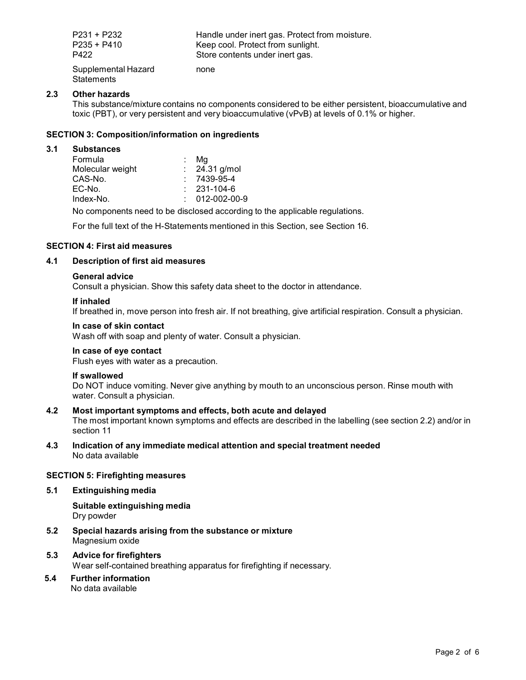| P231 + P232<br>$P235 + P410$             | Handle under inert gas. Protect from moisture.<br>Keep cool. Protect from sunlight. |
|------------------------------------------|-------------------------------------------------------------------------------------|
| P422                                     | Store contents under inert gas.                                                     |
| Supplemental Hazard<br><b>Statements</b> | none                                                                                |

# **2.3 Other hazards**

This substance/mixture contains no components considered to be either persistent, bioaccumulative and toxic (PBT), or very persistent and very bioaccumulative (vPvB) at levels of 0.1% or higher.

# **SECTION 3: Composition/information on ingredients**

#### **3.1 Substances**

| Formula          | Ma                       |  |
|------------------|--------------------------|--|
| Molecular weight | $\therefore$ 24.31 g/mol |  |
| CAS-No.          | $7439-95-4$              |  |
| EC-No.           | $: 231 - 104 - 6$        |  |
| Index-No.        | $: 012-002-00-9$         |  |
|                  |                          |  |

No components need to be disclosed according to the applicable regulations.

For the full text of the H-Statements mentioned in this Section, see Section 16.

# **SECTION 4: First aid measures**

## **4.1 Description of first aid measures**

#### **General advice**

Consult a physician. Show this safety data sheet to the doctor in attendance.

#### **If inhaled**

If breathed in, move person into fresh air. If not breathing, give artificial respiration. Consult a physician.

#### **In case of skin contact**

Wash off with soap and plenty of water. Consult a physician.

# **In case of eye contact**

Flush eyes with water as a precaution.

## **If swallowed**

Do NOT induce vomiting. Never give anything by mouth to an unconscious person. Rinse mouth with water. Consult a physician.

## **4.2 Most important symptoms and effects, both acute and delayed**

The most important known symptoms and effects are described in the labelling (see section 2.2) and/or in section 11

**4.3 Indication of any immediate medical attention and special treatment needed** No data available

## **SECTION 5: Firefighting measures**

# **5.1 Extinguishing media**

**Suitable extinguishing media** Dry powder

- **5.2 Special hazards arising from the substance ormixture** Magnesium oxide
- **5.3 Advice for firefighters** Wear self-contained breathing apparatus for firefighting if necessary.
- **5.4 Further information** No data available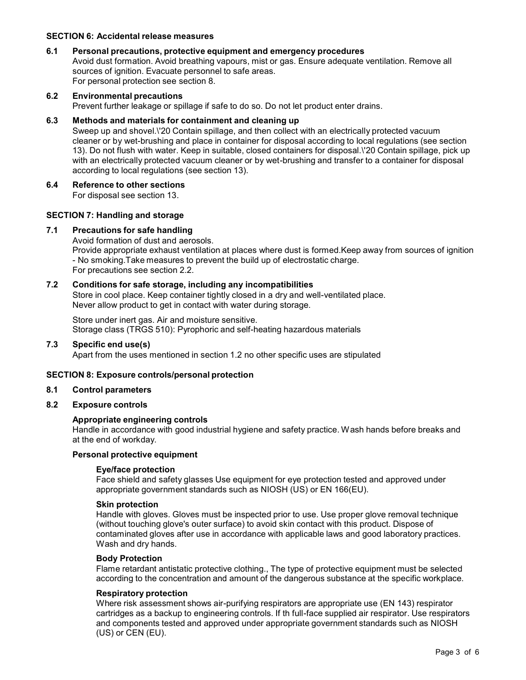#### **SECTION 6: Accidental release measures**

#### **6.1 Personal precautions, protective equipment and emergency procedures**

Avoid dust formation. Avoid breathing vapours, mist or gas. Ensure adequate ventilation. Remove all sources of ignition. Evacuate personnel to safe areas. For personal protection see section 8.

# **6.2 Environmental precautions** Prevent further leakage or spillage if safe to do so. Do not let product enter drains.

#### **6.3 Methods and materials for containment and cleaning up**

Sweep up and shovel.\'20 Contain spillage, and then collect with an electrically protected vacuum cleaner or by wet-brushing and place in container for disposal according to local regulations (see section 13). Do not flush with water. Keep in suitable, closed containers for disposal.\'20 Contain spillage, pick up with an electrically protected vacuum cleaner or by wet-brushing and transfer to a container for disposal according to local regulations (see section 13).

#### **6.4 Reference to other sections**

For disposal see section 13.

## **SECTION 7: Handling and storage**

#### **7.1 Precautions for safe handling**

Avoid formation of dust and aerosols.

Provide appropriate exhaust ventilation at places where dust is formed.Keep away from sources of ignition - No smoking.Take measures to prevent the build up of electrostatic charge. For precautions see section 2.2.

## **7.2 Conditions for safe storage, including any incompatibilities**

Store in cool place. Keep container tightly closed in a dry and well-ventilated place. Never allow product to get in contact with water during storage.

Store under inert gas. Air and moisture sensitive. Storage class (TRGS 510): Pyrophoric and self-heating hazardous materials

## **7.3 Specific end use(s)**

Apart from the uses mentioned in section 1.2 no other specific uses are stipulated

## **SECTION 8: Exposure controls/personal protection**

#### **8.1 Control parameters**

**8.2 Exposure controls**

#### **Appropriate engineering controls**

Handle in accordance with good industrial hygiene and safety practice. Wash hands before breaks and at the end of workday.

# **Personal protective equipment**

#### **Eye/face protection**

Face shield and safety glasses Use equipment for eye protection tested and approved under appropriate government standards such as NIOSH (US) or EN 166(EU).

#### **Skin protection**

Handle with gloves. Gloves must be inspected prior to use. Use proper glove removal technique (without touching glove's outer surface) to avoid skin contact with this product. Dispose of contaminated gloves after use in accordance with applicable laws and good laboratory practices. Wash and dry hands.

#### **Body Protection**

Flame retardant antistatic protective clothing., The type of protective equipment must be selected according to the concentration and amount of the dangerous substance at the specific workplace.

## **Respiratory protection**

Where risk assessment shows air-purifying respirators are appropriate use (EN 143) respirator cartridges as a backup to engineering controls. If th full-face supplied air respirator. Use respirators and components tested and approved under appropriate government standards such as NIOSH (US) or CEN (EU).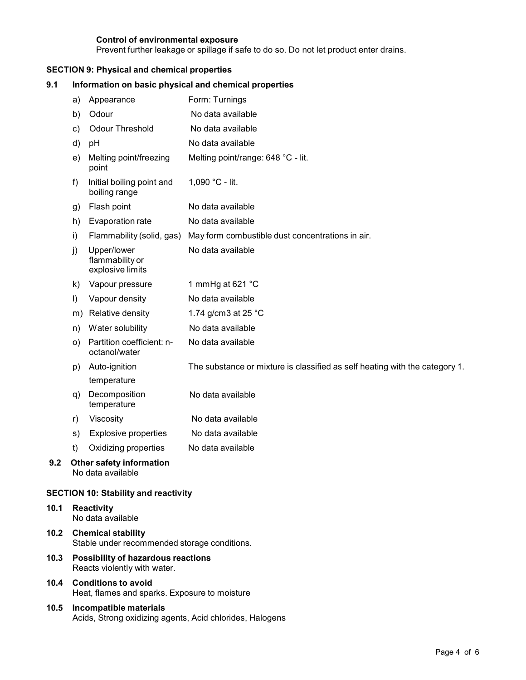# **Control of environmental exposure**

Acids, Strong oxidizing agents, Acid chlorides, Halogens

Prevent further leakage or spillage if safe to do so. Do not let product enter drains.

# **SECTION 9: Physical and chemical properties**

| 9.1  | Information on basic physical and chemical properties                       |                                                    |                                                                             |
|------|-----------------------------------------------------------------------------|----------------------------------------------------|-----------------------------------------------------------------------------|
|      | a)                                                                          | Appearance                                         | Form: Turnings                                                              |
|      | b)                                                                          | Odour                                              | No data available                                                           |
|      | C)                                                                          | Odour Threshold                                    | No data available                                                           |
|      | d)                                                                          | pH                                                 | No data available                                                           |
|      | e)                                                                          | Melting point/freezing<br>point                    | Melting point/range: 648 °C - lit.                                          |
|      | f)                                                                          | Initial boiling point and<br>boiling range         | 1,090 °C - lit.                                                             |
|      | g)                                                                          | Flash point                                        | No data available                                                           |
|      | h)                                                                          | Evaporation rate                                   | No data available                                                           |
|      | i)                                                                          | Flammability (solid, gas)                          | May form combustible dust concentrations in air.                            |
|      | j)                                                                          | Upper/lower<br>flammability or<br>explosive limits | No data available                                                           |
|      | k)                                                                          | Vapour pressure                                    | 1 mmHg at 621 °C                                                            |
|      | I)                                                                          | Vapour density                                     | No data available                                                           |
|      | m)                                                                          | Relative density                                   | 1.74 g/cm3 at 25 °C                                                         |
|      | n)                                                                          | Water solubility                                   | No data available                                                           |
|      | O)                                                                          | Partition coefficient: n-<br>octanol/water         | No data available                                                           |
|      | p)                                                                          | Auto-ignition                                      | The substance or mixture is classified as self heating with the category 1. |
|      |                                                                             | temperature                                        |                                                                             |
|      | q)                                                                          | Decomposition<br>temperature                       | No data available                                                           |
|      | r)                                                                          | Viscosity                                          | No data available                                                           |
|      | s)                                                                          | <b>Explosive properties</b>                        | No data available                                                           |
|      | t)                                                                          | Oxidizing properties                               | No data available                                                           |
| 9.2  | <b>Other safety information</b><br>No data available                        |                                                    |                                                                             |
|      |                                                                             | <b>SECTION 10: Stability and reactivity</b>        |                                                                             |
| 10.1 | <b>Reactivity</b><br>No data available                                      |                                                    |                                                                             |
| 10.2 | <b>Chemical stability</b><br>Stable under recommended storage conditions.   |                                                    |                                                                             |
| 10.3 | Possibility of hazardous reactions<br>Reacts violently with water.          |                                                    |                                                                             |
| 10.4 | <b>Conditions to avoid</b><br>Heat, flames and sparks. Exposure to moisture |                                                    |                                                                             |
| 10.5 |                                                                             | Incompatible materials                             |                                                                             |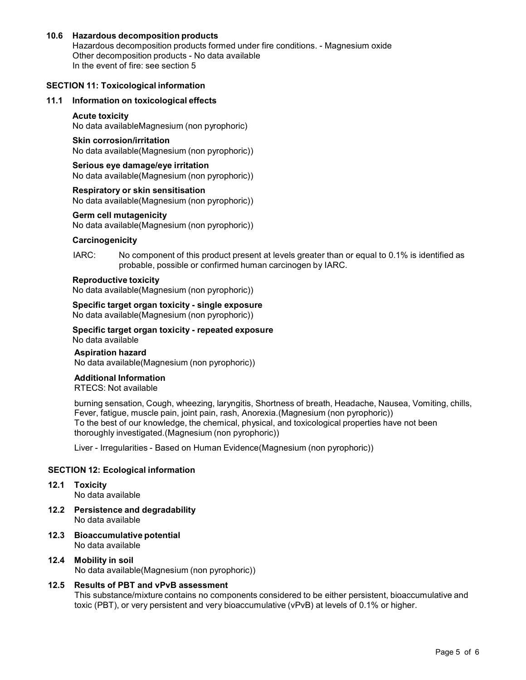# **10.6 Hazardous decomposition products**

Hazardous decomposition products formed under fire conditions. - Magnesium oxide Other decomposition products - No data available In the event of fire: see section 5

#### **SECTION 11: Toxicological information**

#### **11.1 Information on toxicological effects**

#### **Acute toxicity**

No data availableMagnesium (non pyrophoric)

# **Skin corrosion/irritation**

No data available(Magnesium (non pyrophoric))

#### **Serious eye damage/eye irritation**

No data available(Magnesium (non pyrophoric))

#### **Respiratory orskin sensitisation**

No data available(Magnesium (non pyrophoric))

#### **Germ cell mutagenicity**

No data available(Magnesium (non pyrophoric))

#### **Carcinogenicity**

IARC: No component of this product present at levels greater than or equal to 0.1% is identified as probable, possible or confirmed human carcinogen by IARC.

### **Reproductive toxicity**

No data available(Magnesium (non pyrophoric))

#### **Specific target organ toxicity - single exposure**

No data available(Magnesium (non pyrophoric))

#### **Specific target organ toxicity - repeated exposure** No data available

**Aspiration hazard** No data available(Magnesium (non pyrophoric))

#### **Additional Information**

RTECS: Not available

burning sensation, Cough, wheezing, laryngitis, Shortness of breath, Headache, Nausea, Vomiting, chills, Fever, fatigue, muscle pain, joint pain, rash, Anorexia.(Magnesium (non pyrophoric)) To the best of our knowledge, the chemical, physical, and toxicological properties have not been thoroughly investigated.(Magnesium (non pyrophoric))

Liver - Irregularities - Based on Human Evidence(Magnesium (non pyrophoric))

# **SECTION 12: Ecological information**

**12.1 Toxicity**

No data available

- **12.2 Persistence and degradability** No data available
- **12.3 Bioaccumulative potential** No data available
- **12.4 Mobility in soil** No data available(Magnesium (non pyrophoric))

# **12.5 Results of PBT and vPvB assessment**

This substance/mixture contains no components considered to be either persistent, bioaccumulative and toxic (PBT), or very persistent and very bioaccumulative (vPvB) at levels of 0.1% or higher.